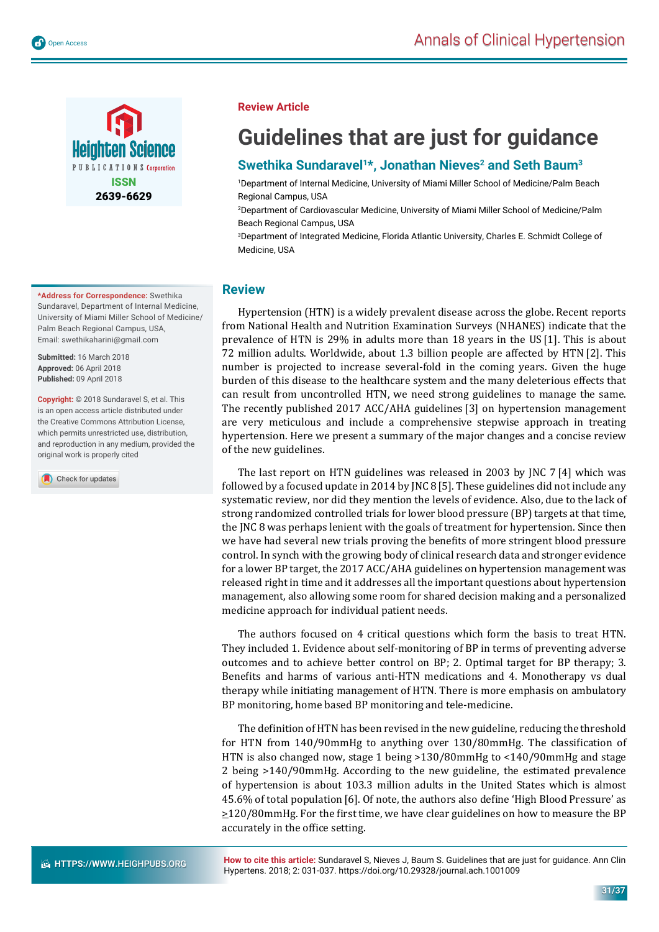

**\*Address for Correspondence:** Swethika Sundaravel, Department of Internal Medicine, University of Miami Miller School of Medicine/ Palm Beach Regional Campus, USA, Email: swethikaharini@gmail.com

**Submitted:** 16 March 2018 **Approved:** 06 April 2018 **Published:** 09 April 2018

**Copyright: ©** 2018 Sundaravel S, et al. This is an open access article distributed under the Creative Commons Attribution License, which permits unrestricted use, distribution, and reproduction in any medium, provided the original work is properly cited

Check for updates

### **Review Article**

# **Guidelines that are just for guidance**

## Swethika Sundaravel<sup>1\*</sup>, Jonathan Nieves<sup>2</sup> and Seth Baum<sup>3</sup>

1 Department of Internal Medicine, University of Miami Miller School of Medicine/Palm Beach Regional Campus, USA

2 Department of Cardiovascular Medicine, University of Miami Miller School of Medicine/Palm Beach Regional Campus, USA

3 Department of Integrated Medicine, Florida Atlantic University, Charles E. Schmidt College of Medicine, USA

## **Review**

Hypertension (HTN) is a widely prevalent disease across the globe. Recent reports from National Health and Nutrition Examination Surveys (NHANES) indicate that the prevalence of HTN is 29% in adults more than 18 years in the US [1]. This is about 72 million adults. Worldwide, about 1.3 billion people are affected by HTN [2]. This number is projected to increase several-fold in the coming years. Given the huge burden of this disease to the healthcare system and the many deleterious effects that can result from uncontrolled HTN, we need strong guidelines to manage the same. The recently published 2017 ACC/AHA guidelines [3] on hypertension management are very meticulous and include a comprehensive stepwise approach in treating hypertension. Here we present a summary of the major changes and a concise review of the new guidelines.

The last report on HTN guidelines was released in 2003 by JNC 7 [4] which was followed by a focused update in 2014 by JNC 8[5]. These guidelines did not include any systematic review, nor did they mention the levels of evidence. Also, due to the lack of strong randomized controlled trials for lower blood pressure (BP) targets at that time, the JNC 8 was perhaps lenient with the goals of treatment for hypertension. Since then we have had several new trials proving the benefits of more stringent blood pressure control. In synch with the growing body of clinical research data and stronger evidence for a lower BP target, the 2017 ACC/AHA guidelines on hypertension management was released right in time and it addresses all the important questions about hypertension management, also allowing some room for shared decision making and a personalized medicine approach for individual patient needs.

The authors focused on 4 critical questions which form the basis to treat HTN. They included 1. Evidence about self-monitoring of BP in terms of preventing adverse outcomes and to achieve better control on BP; 2. Optimal target for BP therapy; 3. Benefits and harms of various anti-HTN medications and 4. Monotherapy vs dual therapy while initiating management of HTN. There is more emphasis on ambulatory BP monitoring, home based BP monitoring and tele-medicine.

The definition of HTN has been revised in the new guideline, reducing the threshold for HTN from  $140/90$ mmHg to anything over  $130/80$ mmHg. The classification of HTN is also changed now, stage 1 being >130/80mmHg to <140/90mmHg and stage 2 being >140/90mmHg. According to the new guideline, the estimated prevalence of hypertension is about 103.3 million adults in the United States which is almost 45.6% of total population [6]. Of note, the authors also define 'High Blood Pressure' as  $\geq$ 120/80mmHg. For the first time, we have clear guidelines on how to measure the BP accurately in the office setting.

**How to cite this article:** Sundaravel S, Nieves J, Baum S. Guidelines that are just for guidance. Ann Clin Hypertens. 2018; 2: 031-037. https://doi.org/10.29328/journal.ach.1001009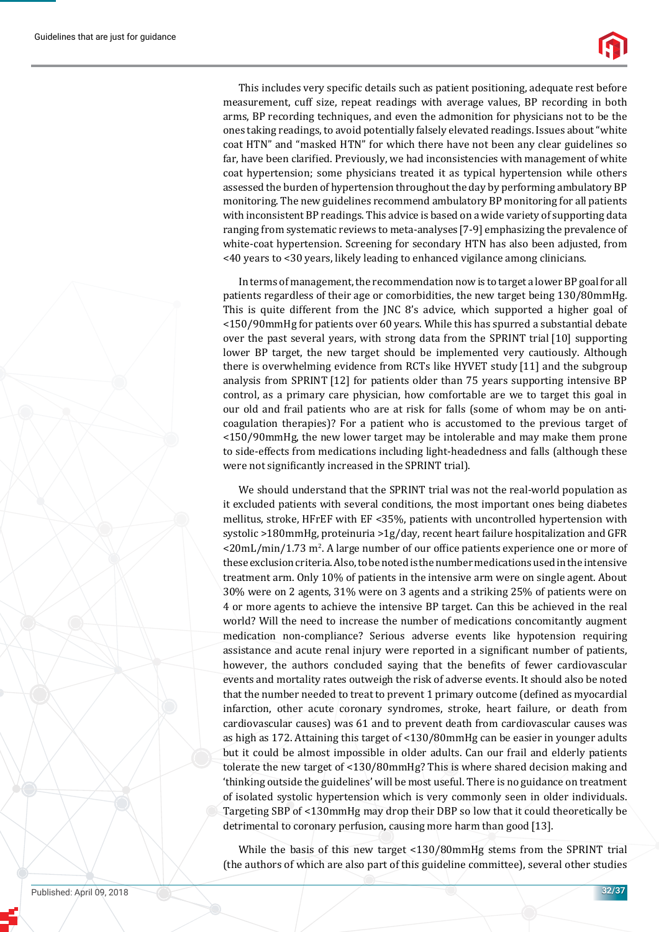This includes very specific details such as patient positioning, adequate rest before measurement, cuff size, repeat readings with average values, BP recording in both arms, BP recording techniques, and even the admonition for physicians not to be the ones taking readings, to avoid potentially falsely elevated readings. Issues about "white coat HTN" and "masked HTN" for which there have not been any clear guidelines so far, have been clarified. Previously, we had inconsistencies with management of white coat hypertension; some physicians treated it as typical hypertension while others assessed the burden of hypertension throughout the day by performing ambulatory BP monitoring. The new guidelines recommend ambulatory BP monitoring for all patients with inconsistent BP readings. This advice is based on a wide variety of supporting data ranging from systematic reviews to meta-analyses[7-9] emphasizing the prevalence of white-coat hypertension. Screening for secondary HTN has also been adjusted, from <40 years to <30 years, likely leading to enhanced vigilance among clinicians.

In terms of management, the recommendation now is to target a lower BP goal for all patients regardless of their age or comorbidities, the new target being 130/80mmHg. This is quite different from the JNC 8's advice, which supported a higher goal of <150/90mmHg for patients over 60 years. While this has spurred a substantial debate over the past several years, with strong data from the SPRINT trial [10] supporting lower BP target, the new target should be implemented very cautiously. Although there is overwhelming evidence from RCTs like HYVET study [11] and the subgroup analysis from SPRINT [12] for patients older than 75 years supporting intensive BP control, as a primary care physician, how comfortable are we to target this goal in our old and frail patients who are at risk for falls (some of whom may be on anticoagulation therapies)? For a patient who is accustomed to the previous target of <150/90mmHg, the new lower target may be intolerable and may make them prone to side-effects from medications including light-headedness and falls (although these were not significantly increased in the SPRINT trial).

We should understand that the SPRINT trial was not the real-world population as it excluded patients with several conditions, the most important ones being diabetes mellitus, stroke, HFrEF with EF <35%, patients with uncontrolled hypertension with systolic >180mmHg, proteinuria >1g/day, recent heart failure hospitalization and GFR  $\langle$  <20mL/min/1.73 m<sup>2</sup>. A large number of our office patients experience one or more of these exclusion criteria. Also, to be noted is the number medications used in the intensive treatment arm. Only 10% of patients in the intensive arm were on single agent. About 30% were on 2 agents, 31% were on 3 agents and a striking 25% of patients were on 4 or more agents to achieve the intensive BP target. Can this be achieved in the real world? Will the need to increase the number of medications concomitantly augment medication non-compliance? Serious adverse events like hypotension requiring assistance and acute renal injury were reported in a significant number of patients, however, the authors concluded saying that the benefits of fewer cardiovascular events and mortality rates outweigh the risk of adverse events. It should also be noted that the number needed to treat to prevent 1 primary outcome (defined as myocardial infarction, other acute coronary syndromes, stroke, heart failure, or death from cardiovascular causes) was 61 and to prevent death from cardiovascular causes was as high as 172. Attaining this target of <130/80mmHg can be easier in younger adults but it could be almost impossible in older adults. Can our frail and elderly patients tolerate the new target of <130/80mmHg? This is where shared decision making and 'thinking outside the guidelines' will be most useful. There is no guidance on treatment of isolated systolic hypertension which is very commonly seen in older individuals. Targeting SBP of <130mmHg may drop their DBP so low that it could theoretically be detrimental to coronary perfusion, causing more harm than good [13].

While the basis of this new target <130/80mmHg stems from the SPRINT trial (the authors of which are also part of this guideline committee), several other studies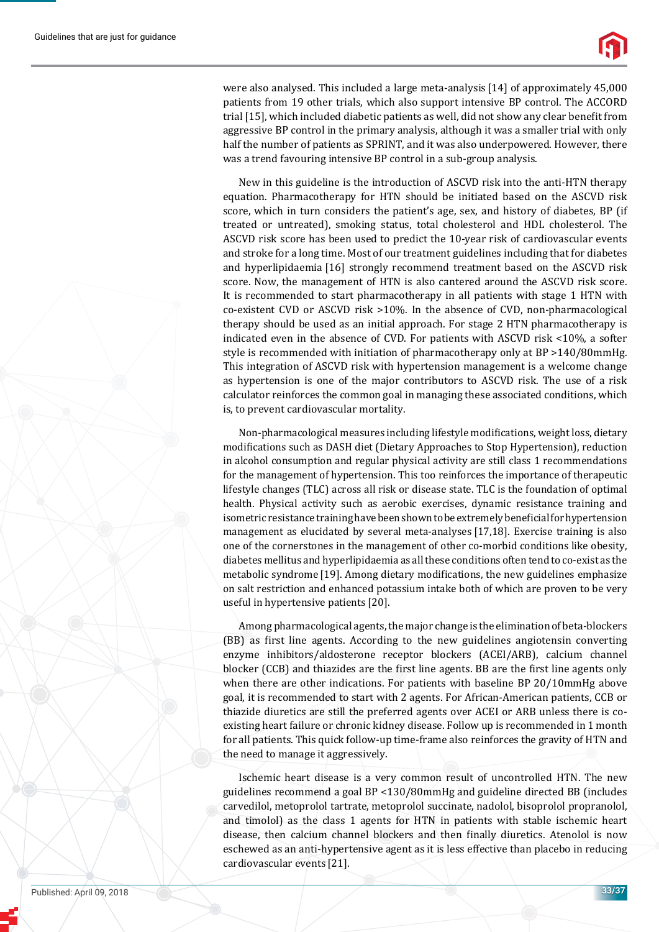

were also analysed. This included a large meta-analysis [14] of approximately 45,000 patients from 19 other trials, which also support intensive BP control. The ACCORD trial [15], which included diabetic patients as well, did not show any clear benefit from aggressive BP control in the primary analysis, although it was a smaller trial with only half the number of patients as SPRINT, and it was also underpowered. However, there was a trend favouring intensive BP control in a sub-group analysis.

New in this guideline is the introduction of ASCVD risk into the anti-HTN therapy equation. Pharmacotherapy for HTN should be initiated based on the ASCVD risk score, which in turn considers the patient's age, sex, and history of diabetes, BP (if treated or untreated), smoking status, total cholesterol and HDL cholesterol. The ASCVD risk score has been used to predict the 10-year risk of cardiovascular events and stroke for a long time. Most of our treatment guidelines including that for diabetes and hyperlipidaemia [16] strongly recommend treatment based on the ASCVD risk score. Now, the management of HTN is also cantered around the ASCVD risk score. It is recommended to start pharmacotherapy in all patients with stage 1 HTN with co-existent CVD or ASCVD risk >10%. In the absence of CVD, non-pharmacological therapy should be used as an initial approach. For stage 2 HTN pharmacotherapy is indicated even in the absence of CVD. For patients with ASCVD risk <10%, a softer style is recommended with initiation of pharmacotherapy only at BP >140/80mmHg. This integration of ASCVD risk with hypertension management is a welcome change as hypertension is one of the major contributors to ASCVD risk. The use of a risk calculator reinforces the common goal in managing these associated conditions, which is, to prevent cardiovascular mortality.

Non-pharmacological measures including lifestyle modifications, weight loss, dietary modifications such as DASH diet (Dietary Approaches to Stop Hypertension), reduction in alcohol consumption and regular physical activity are still class 1 recommendations for the management of hypertension. This too reinforces the importance of therapeutic lifestyle changes (TLC) across all risk or disease state. TLC is the foundation of optimal health. Physical activity such as aerobic exercises, dynamic resistance training and isometric resistance training have been shown to be extremely beneficial for hypertension management as elucidated by several meta-analyses [17,18]. Exercise training is also one of the cornerstones in the management of other co-morbid conditions like obesity, diabetes mellitus and hyperlipidaemia as all these conditions often tend to co-exist as the metabolic syndrome  $[19]$ . Among dietary modifications, the new guidelines emphasize on salt restriction and enhanced potassium intake both of which are proven to be very useful in hypertensive patients [20].

Among pharmacological agents, the major change is the elimination of beta-blockers (BB) as ϐirst line agents. According to the new guidelines angiotensin converting enzyme inhibitors/aldosterone receptor blockers (ACEI/ARB), calcium channel blocker (CCB) and thiazides are the first line agents. BB are the first line agents only when there are other indications. For patients with baseline BP 20/10mmHg above goal, it is recommended to start with 2 agents. For African-American patients, CCB or thiazide diuretics are still the preferred agents over ACEI or ARB unless there is coexisting heart failure or chronic kidney disease. Follow up is recommended in 1 month for all patients. This quick follow-up time-frame also reinforces the gravity of HTN and the need to manage it aggressively.

Ischemic heart disease is a very common result of uncontrolled HTN. The new guidelines recommend a goal BP <130/80mmHg and guideline directed BB (includes carvedilol, metoprolol tartrate, metoprolol succinate, nadolol, bisoprolol propranolol, and timolol) as the class 1 agents for HTN in patients with stable ischemic heart disease, then calcium channel blockers and then finally diuretics. Atenolol is now eschewed as an anti-hypertensive agent as it is less effective than placebo in reducing cardiovascular events [21].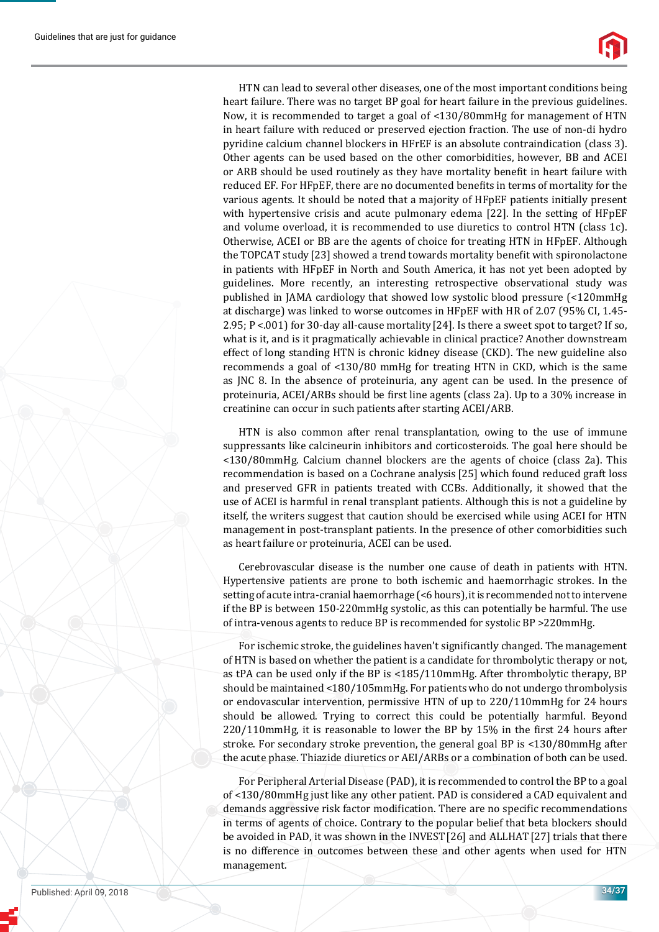HTN can lead to several other diseases, one of the most important conditions being heart failure. There was no target BP goal for heart failure in the previous guidelines. Now, it is recommended to target a goal of <130/80mmHg for management of HTN in heart failure with reduced or preserved ejection fraction. The use of non-di hydro pyridine calcium channel blockers in HFrEF is an absolute contraindication (class 3). Other agents can be used based on the other comorbidities, however, BB and ACEI or ARB should be used routinely as they have mortality benefit in heart failure with reduced EF. For HFpEF, there are no documented benefits in terms of mortality for the various agents. It should be noted that a majority of HFpEF patients initially present with hypertensive crisis and acute pulmonary edema [22]. In the setting of HFpEF and volume overload, it is recommended to use diuretics to control HTN (class 1c). Otherwise, ACEI or BB are the agents of choice for treating HTN in HFpEF. Although the TOPCAT study [23] showed a trend towards mortality benefit with spironolactone in patients with HFpEF in North and South America, it has not yet been adopted by guidelines. More recently, an interesting retrospective observational study was published in JAMA cardiology that showed low systolic blood pressure (<120mmHg at discharge) was linked to worse outcomes in HFpEF with HR of 2.07 (95% CI, 1.45- 2.95; P <.001) for 30-day all-cause mortality [24]. Is there a sweet spot to target? If so, what is it, and is it pragmatically achievable in clinical practice? Another downstream effect of long standing HTN is chronic kidney disease (CKD). The new guideline also recommends a goal of <130/80 mmHg for treating HTN in CKD, which is the same as JNC 8. In the absence of proteinuria, any agent can be used. In the presence of proteinuria, ACEI/ARBs should be first line agents (class 2a). Up to a 30% increase in creatinine can occur in such patients after starting ACEI/ARB.

HTN is also common after renal transplantation, owing to the use of immune suppressants like calcineurin inhibitors and corticosteroids. The goal here should be <130/80mmHg. Calcium channel blockers are the agents of choice (class 2a). This recommendation is based on a Cochrane analysis [25] which found reduced graft loss and preserved GFR in patients treated with CCBs. Additionally, it showed that the use of ACEI is harmful in renal transplant patients. Although this is not a guideline by itself, the writers suggest that caution should be exercised while using ACEI for HTN management in post-transplant patients. In the presence of other comorbidities such as heart failure or proteinuria, ACEI can be used.

Cerebrovascular disease is the number one cause of death in patients with HTN. Hypertensive patients are prone to both ischemic and haemorrhagic strokes. In the setting of acute intra-cranial haemorrhage (<6 hours), it is recommended not to intervene if the BP is between 150-220mmHg systolic, as this can potentially be harmful. The use of intra-venous agents to reduce BP is recommended for systolic BP >220mmHg.

For ischemic stroke, the guidelines haven't significantly changed. The management of HTN is based on whether the patient is a candidate for thrombolytic therapy or not, as tPA can be used only if the BP is <185/110mmHg. After thrombolytic therapy, BP should be maintained <180/105mmHg. For patients who do not undergo thrombolysis or endovascular intervention, permissive HTN of up to 220/110mmHg for 24 hours should be allowed. Trying to correct this could be potentially harmful. Beyond  $220/110$ mmHg, it is reasonable to lower the BP by 15% in the first 24 hours after stroke. For secondary stroke prevention, the general goal BP is <130/80mmHg after the acute phase. Thiazide diuretics or AEI/ARBs or a combination of both can be used.

For Peripheral Arterial Disease (PAD), it is recommended to control the BP to a goal of <130/80mmHg just like any other patient. PAD is considered a CAD equivalent and demands aggressive risk factor modification. There are no specific recommendations in terms of agents of choice. Contrary to the popular belief that beta blockers should be avoided in PAD, it was shown in the INVEST[26] and ALLHAT[27] trials that there is no difference in outcomes between these and other agents when used for HTN management.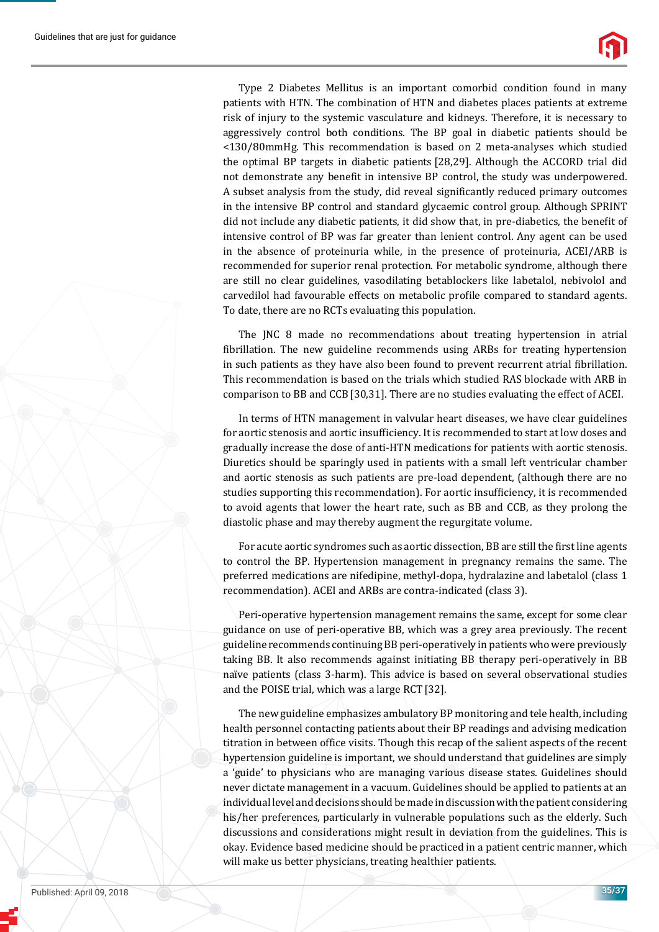Type 2 Diabetes Mellitus is an important comorbid condition found in many patients with HTN. The combination of HTN and diabetes places patients at extreme risk of injury to the systemic vasculature and kidneys. Therefore, it is necessary to aggressively control both conditions. The BP goal in diabetic patients should be <130/80mmHg. This recommendation is based on 2 meta-analyses which studied the optimal BP targets in diabetic patients [28,29]. Although the ACCORD trial did not demonstrate any benefit in intensive BP control, the study was underpowered. A subset analysis from the study, did reveal significantly reduced primary outcomes in the intensive BP control and standard glycaemic control group. Although SPRINT did not include any diabetic patients, it did show that, in pre-diabetics, the benefit of intensive control of BP was far greater than lenient control. Any agent can be used in the absence of proteinuria while, in the presence of proteinuria, ACEI/ARB is recommended for superior renal protection. For metabolic syndrome, although there are still no clear guidelines, vasodilating betablockers like labetalol, nebivolol and carvedilol had favourable effects on metabolic profile compared to standard agents. To date, there are no RCTs evaluating this population.

The JNC 8 made no recommendations about treating hypertension in atrial ϐibrillation. The new guideline recommends using ARBs for treating hypertension in such patients as they have also been found to prevent recurrent atrial fibrillation. This recommendation is based on the trials which studied RAS blockade with ARB in comparison to BB and CCB[30,31]. There are no studies evaluating the effect of ACEI.

In terms of HTN management in valvular heart diseases, we have clear guidelines for aortic stenosis and aortic insufficiency. It is recommended to start at low doses and gradually increase the dose of anti-HTN medications for patients with aortic stenosis. Diuretics should be sparingly used in patients with a small left ventricular chamber and aortic stenosis as such patients are pre-load dependent, (although there are no studies supporting this recommendation). For aortic insufficiency, it is recommended to avoid agents that lower the heart rate, such as BB and CCB, as they prolong the diastolic phase and may thereby augment the regurgitate volume.

For acute aortic syndromes such as aortic dissection, BB are still the first line agents to control the BP. Hypertension management in pregnancy remains the same. The preferred medications are nifedipine, methyl-dopa, hydralazine and labetalol (class 1 recommendation). ACEI and ARBs are contra-indicated (class 3).

Peri-operative hypertension management remains the same, except for some clear guidance on use of peri-operative BB, which was a grey area previously. The recent guideline recommends continuing BB peri-operatively in patients who were previously taking BB. It also recommends against initiating BB therapy peri-operatively in BB naïve patients (class 3-harm). This advice is based on several observational studies and the POISE trial, which was a large RCT[32].

The new guideline emphasizes ambulatory BP monitoring and tele health, including health personnel contacting patients about their BP readings and advising medication titration in between office visits. Though this recap of the salient aspects of the recent hypertension guideline is important, we should understand that guidelines are simply a 'guide' to physicians who are managing various disease states. Guidelines should never dictate management in a vacuum. Guidelines should be applied to patients at an individual level and decisions should be made in discussion with the patient considering his/her preferences, particularly in vulnerable populations such as the elderly. Such discussions and considerations might result in deviation from the guidelines. This is okay. Evidence based medicine should be practiced in a patient centric manner, which will make us better physicians, treating healthier patients.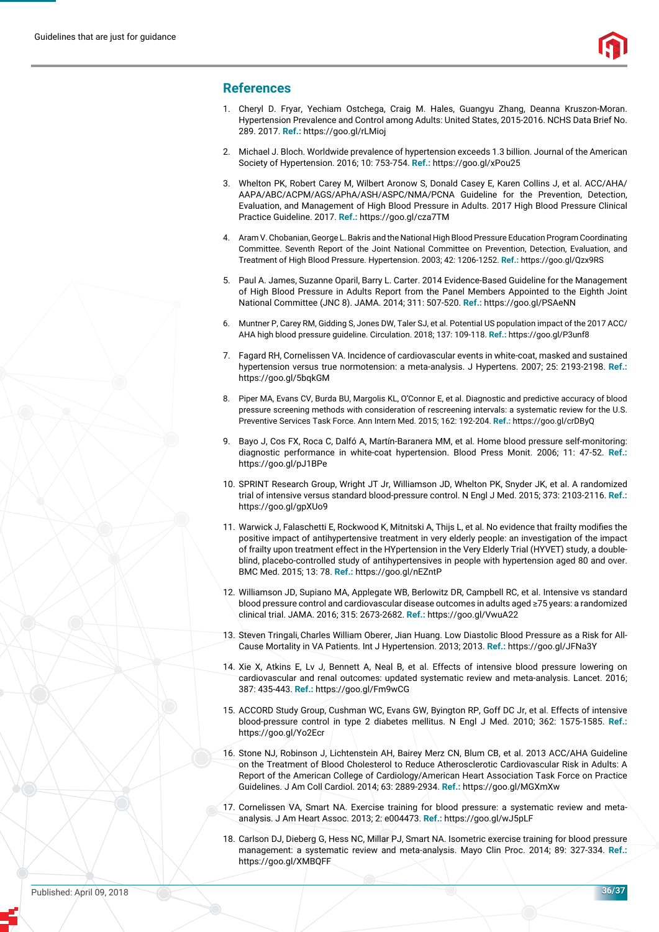

#### **References**

- 1. Cheryl D. Fryar, Yechiam Ostchega, Craig M. Hales, Guangyu Zhang, Deanna Kruszon-Moran. Hypertension Prevalence and Control among Adults: United States, 2015-2016. NCHS Data Brief No. 289. 2017. **Ref.:** https://goo.gl/rLMioj
- 2. Michael J. Bloch. Worldwide prevalence of hypertension exceeds 1.3 billion. Journal of the American Society of Hypertension. 2016; 10: 753-754. **Ref.:** https://goo.gl/xPou25
- 3. Whelton PK, Robert Carey M, Wilbert Aronow S, Donald Casey E, Karen Collins J, et al. ACC/AHA/ AAPA/ABC/ACPM/AGS/APhA/ASH/ASPC/NMA/PCNA Guideline for the Prevention, Detection, Evaluation, and Management of High Blood Pressure in Adults. 2017 High Blood Pressure Clinical Practice Guideline. 2017. **Ref.:** https://goo.gl/cza7TM
- 4. Aram V. Chobanian, George L. Bakris and the National High Blood Pressure Education Program Coordinating Committee. Seventh Report of the Joint National Committee on Prevention, Detection, Evaluation, and Treatment of High Blood Pressure. Hypertension. 2003; 42: 1206-1252. **Ref.:** https://goo.gl/Qzx9RS
- 5. Paul A. James, Suzanne Oparil, Barry L. Carter. 2014 Evidence-Based Guideline for the Management of High Blood Pressure in Adults Report from the Panel Members Appointed to the Eighth Joint National Committee (JNC 8). JAMA. 2014; 311: 507-520. **Ref.:** https://goo.gl/PSAeNN
- 6. Muntner P, Carey RM, Gidding S, Jones DW, Taler SJ, et al. Potential US population impact of the 2017 ACC/ AHA high blood pressure guideline. Circulation. 2018; 137: 109-118. **Ref.:** https://goo.gl/P3unf8
- 7. Fagard RH, Cornelissen VA. Incidence of cardiovascular events in white-coat, masked and sustained hypertension versus true normotension: a meta-analysis. J Hypertens. 2007; 25: 2193-2198. **Ref.:** https://goo.gl/5bqkGM
- 8. Piper MA, Evans CV, Burda BU, Margolis KL, O'Connor E, et al. Diagnostic and predictive accuracy of blood pressure screening methods with consideration of rescreening intervals: a systematic review for the U.S. Preventive Services Task Force. Ann Intern Med. 2015; 162: 192-204. **Ref.:** https://goo.gl/crDByQ
- 9. Bayo J, Cos FX, Roca C, Dalfó A, Martín-Baranera MM, et al. Home blood pressure self-monitoring: diagnostic performance in white-coat hypertension. Blood Press Monit. 2006; 11: 47-52. **Ref.:** https://goo.gl/pJ1BPe
- 10. SPRINT Research Group, Wright JT Jr, Williamson JD, Whelton PK, Snyder JK, et al. A randomized trial of intensive versus standard blood-pressure control. N Engl J Med. 2015; 373: 2103-2116. **Ref.:** https://goo.gl/gpXUo9
- 11. Warwick J, Falaschetti E, Rockwood K, Mitnitski A, Thijs L, et al. No evidence that frailty modifies the positive impact of antihypertensive treatment in very elderly people: an investigation of the impact of frailty upon treatment effect in the HYpertension in the Very Elderly Trial (HYVET) study, a doubleblind, placebo-controlled study of antihypertensives in people with hypertension aged 80 and over. BMC Med. 2015; 13: 78. **Ref.:** https://goo.gl/nEZntP
- 12. Williamson JD, Supiano MA, Applegate WB, Berlowitz DR, Campbell RC, et al. Intensive vs standard blood pressure control and cardiovascular disease outcomes in adults aged ≥75 years: a randomized clinical trial. JAMA. 2016; 315: 2673-2682. **Ref.:** https://goo.gl/VwuA22
- 13. Steven Tringali,Charles William Oberer, Jian Huang. Low Diastolic Blood Pressure as a Risk for All-Cause Mortality in VA Patients. Int J Hypertension. 2013; 2013. **Ref.:** https://goo.gl/JFNa3Y
- 14. Xie X, Atkins E, Lv J, Bennett A, Neal B, et al. Effects of intensive blood pressure lowering on cardiovascular and renal outcomes: updated systematic review and meta-analysis. Lancet. 2016; 387: 435-443. **Ref.:** https://goo.gl/Fm9wCG
- 15. ACCORD Study Group, Cushman WC, Evans GW, Byington RP, Goff DC Jr, et al. Effects of intensive blood-pressure control in type 2 diabetes mellitus. N Engl J Med. 2010; 362: 1575-1585. **Ref.:** https://goo.gl/Yo2Ecr
- 16. Stone NJ, Robinson J, Lichtenstein AH, Bairey Merz CN, Blum CB, et al. 2013 ACC/AHA Guideline on the Treatment of Blood Cholesterol to Reduce Atherosclerotic Cardiovascular Risk in Adults: A Report of the American College of Cardiology/American Heart Association Task Force on Practice Guidelines. J Am Coll Cardiol. 2014; 63: 2889-2934. **Ref.:** https://goo.gl/MGXmXw
- 17. Cornelissen VA, Smart NA. Exercise training for blood pressure: a systematic review and metaanalysis. J Am Heart Assoc. 2013; 2: e004473. **Ref.:** https://goo.gl/wJ5pLF
- 18. Carlson DJ, Dieberg G, Hess NC, Millar PJ, Smart NA. Isometric exercise training for blood pressure management: a systematic review and meta-analysis. Mayo Clin Proc. 2014; 89: 327-334. **Ref.:** https://goo.gl/XMBQFF